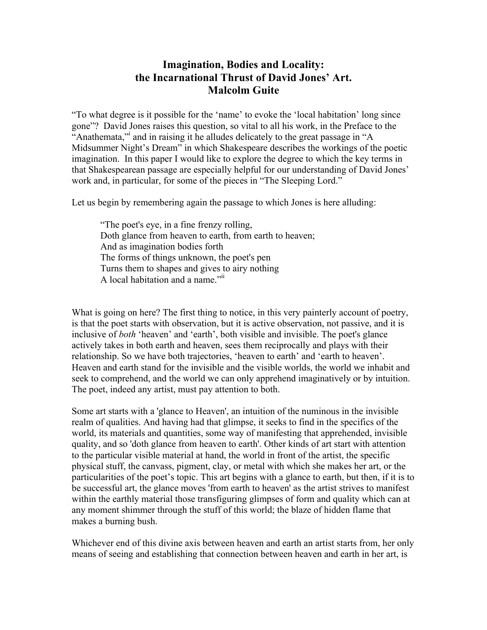## **Imagination, Bodies and Locality: the Incarnational Thrust of David Jones' Art. Malcolm Guite**

"To what degree is it possible for the 'name' to evoke the 'local habitation' long since gone"? David Jones raises this question, so vital to all his work, in the Preface to the "Anathemata," and in raising it he alludes delicately to the great passage in "A Midsummer Night's Dream" in which Shakespeare describes the workings of the poetic imagination. In this paper I would like to explore the degree to which the key terms in that Shakespearean passage are especially helpful for our understanding of David Jones' work and, in particular, for some of the pieces in "The Sleeping Lord."

Let us begin by remembering again the passage to which Jones is here alluding:

"The poet's eye, in a fine frenzy rolling, Doth glance from heaven to earth, from earth to heaven; And as imagination bodies forth The forms of things unknown, the poet's pen Turns them to shapes and gives to airy nothing A local habitation and a name."<sup>ii</sup>

What is going on here? The first thing to notice, in this very painterly account of poetry, is that the poet starts with observation, but it is active observation, not passive, and it is inclusive of *both* 'heaven' and 'earth', both visible and invisible. The poet's glance actively takes in both earth and heaven, sees them reciprocally and plays with their relationship. So we have both trajectories, 'heaven to earth' and 'earth to heaven'. Heaven and earth stand for the invisible and the visible worlds, the world we inhabit and seek to comprehend, and the world we can only apprehend imaginatively or by intuition. The poet, indeed any artist, must pay attention to both.

Some art starts with a 'glance to Heaven', an intuition of the numinous in the invisible realm of qualities. And having had that glimpse, it seeks to find in the specifics of the world, its materials and quantities, some way of manifesting that apprehended, invisible quality, and so 'doth glance from heaven to earth'. Other kinds of art start with attention to the particular visible material at hand, the world in front of the artist, the specific physical stuff, the canvass, pigment, clay, or metal with which she makes her art, or the particularities of the poet's topic. This art begins with a glance to earth, but then, if it is to be successful art, the glance moves 'from earth to heaven' as the artist strives to manifest within the earthly material those transfiguring glimpses of form and quality which can at any moment shimmer through the stuff of this world; the blaze of hidden flame that makes a burning bush.

Whichever end of this divine axis between heaven and earth an artist starts from, her only means of seeing and establishing that connection between heaven and earth in her art, is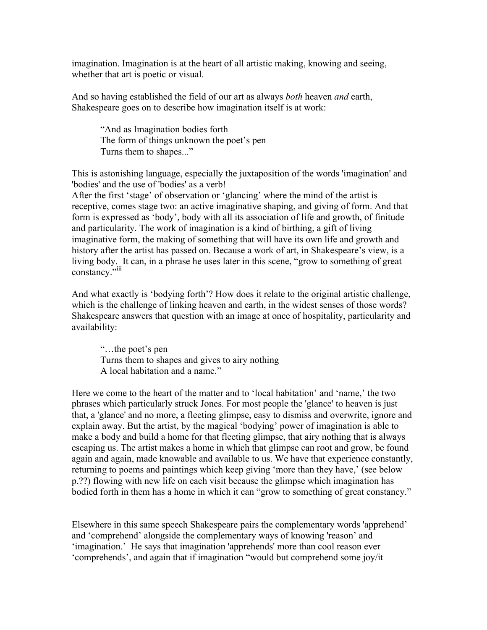imagination. Imagination is at the heart of all artistic making, knowing and seeing, whether that art is poetic or visual.

And so having established the field of our art as always *both* heaven *and* earth, Shakespeare goes on to describe how imagination itself is at work:

"And as Imagination bodies forth The form of things unknown the poet's pen Turns them to shapes..."

This is astonishing language, especially the juxtaposition of the words 'imagination' and 'bodies' and the use of 'bodies' as a verb!

After the first 'stage' of observation or 'glancing' where the mind of the artist is receptive, comes stage two: an active imaginative shaping, and giving of form. And that form is expressed as 'body', body with all its association of life and growth, of finitude and particularity. The work of imagination is a kind of birthing, a gift of living imaginative form, the making of something that will have its own life and growth and history after the artist has passed on. Because a work of art, in Shakespeare's view, is a living body. It can, in a phrase he uses later in this scene, "grow to something of great constancy."<sup>iii</sup>

And what exactly is 'bodying forth'? How does it relate to the original artistic challenge, which is the challenge of linking heaven and earth, in the widest senses of those words? Shakespeare answers that question with an image at once of hospitality, particularity and availability:

"…the poet's pen Turns them to shapes and gives to airy nothing A local habitation and a name."

Here we come to the heart of the matter and to 'local habitation' and 'name,' the two phrases which particularly struck Jones. For most people the 'glance' to heaven is just that, a 'glance' and no more, a fleeting glimpse, easy to dismiss and overwrite, ignore and explain away. But the artist, by the magical 'bodying' power of imagination is able to make a body and build a home for that fleeting glimpse, that airy nothing that is always escaping us. The artist makes a home in which that glimpse can root and grow, be found again and again, made knowable and available to us. We have that experience constantly, returning to poems and paintings which keep giving 'more than they have,' (see below p.??) flowing with new life on each visit because the glimpse which imagination has bodied forth in them has a home in which it can "grow to something of great constancy."

Elsewhere in this same speech Shakespeare pairs the complementary words 'apprehend' and 'comprehend' alongside the complementary ways of knowing 'reason' and 'imagination.' He says that imagination 'apprehends' more than cool reason ever 'comprehends', and again that if imagination "would but comprehend some joy/it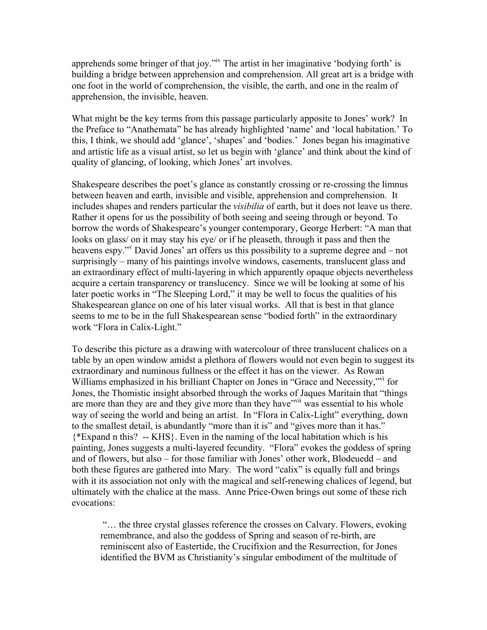apprehends some bringer of that joy."iv The artist in her imaginative 'bodying forth' is building a bridge between apprehension and comprehension. All great art is a bridge with one foot in the world of comprehension, the visible, the earth, and one in the realm of apprehension, the invisible, heaven.

What might be the key terms from this passage particularly apposite to Jones' work? In the Preface to "Anathemata" he has already highlighted 'name' and 'local habitation.' To this, I think, we should add 'glance', 'shapes' and 'bodies.' Jones began his imaginative and artistic life as a visual artist, so let us begin with 'glance' and think about the kind of quality of glancing, of looking, which Jones' art involves.

Shakespeare describes the poet's glance as constantly crossing or re-crossing the limnus between heaven and earth, invisible and visible, apprehension and comprehension. It includes shapes and renders particular the *visibilia* of earth, but it does not leave us there. Rather it opens for us the possibility of both seeing and seeing through or beyond. To borrow the words of Shakespeare's younger contemporary, George Herbert: "A man that looks on glass/ on it may stay his eye/ or if he pleaseth, through it pass and then the heavens espy."<sup>V</sup> David Jones' art offers us this possibility to a supreme degree and – not surprisingly – many of his paintings involve windows, casements, translucent glass and an extraordinary effect of multi-layering in which apparently opaque objects nevertheless acquire a certain transparency or translucency. Since we will be looking at some of his later poetic works in "The Sleeping Lord," it may be well to focus the qualities of his Shakespearean glance on one of his later visual works. All that is best in that glance seems to me to be in the full Shakespearean sense "bodied forth" in the extraordinary work "Flora in Calix-Light."

To describe this picture as a drawing with watercolour of three translucent chalices on a table by an open window amidst a plethora of flowers would not even begin to suggest its extraordinary and numinous fullness or the effect it has on the viewer. As Rowan Williams emphasized in his brilliant Chapter on Jones in "Grace and Necessity,"<sup>vi</sup> for Jones, the Thomistic insight absorbed through the works of Jaques Maritain that "things are more than they are and they give more than they have<sup>"vii</sup> was essential to his whole way of seeing the world and being an artist. In "Flora in Calix-Light" everything, down to the smallest detail, is abundantly "more than it is" and "gives more than it has." {\*Expand n this? -- KHS}. Even in the naming of the local habitation which is his painting, Jones suggests a multi-layered fecundity. "Flora" evokes the goddess of spring and of flowers, but also – for those familiar with Jones' other work, Blodeuedd – and both these figures are gathered into Mary. The word "calix" is equally full and brings with it its association not only with the magical and self-renewing chalices of legend, but ultimately with the chalice at the mass. Anne Price-Owen brings out some of these rich evocations:

"… the three crystal glasses reference the crosses on Calvary. Flowers, evoking remembrance, and also the goddess of Spring and season of re-birth, are reminiscent also of Eastertide, the Crucifixion and the Resurrection, for Jones identified the BVM as Christianity's singular embodiment of the multitude of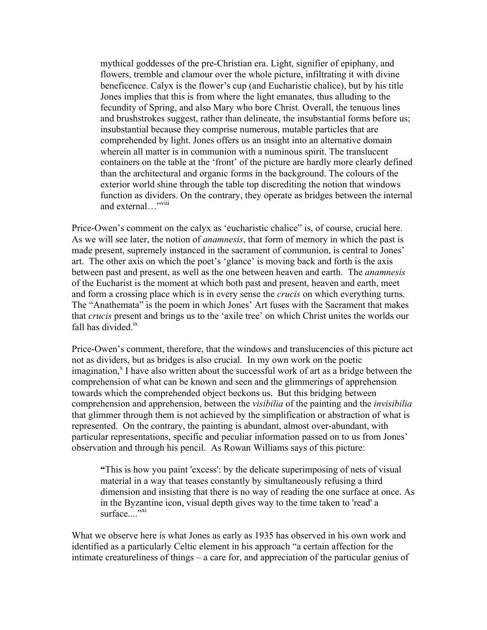mythical goddesses of the pre-Christian era. Light, signifier of epiphany, and flowers, tremble and clamour over the whole picture, infiltrating it with divine beneficence. Calyx is the flower's cup (and Eucharistic chalice), but by his title Jones implies that this is from where the light emanates, thus alluding to the fecundity of Spring, and also Mary who bore Christ. Overall, the tenuous lines and brushstrokes suggest, rather than delineate, the insubstantial forms before us; insubstantial because they comprise numerous, mutable particles that are comprehended by light. Jones offers us an insight into an alternative domain wherein all matter is in communion with a numinous spirit. The translucent containers on the table at the 'front' of the picture are hardly more clearly defined than the architectural and organic forms in the background. The colours of the exterior world shine through the table top discrediting the notion that windows function as dividers. On the contrary, they operate as bridges between the internal and external "<sup>viii</sup>

Price-Owen's comment on the calyx as 'eucharistic chalice" is, of course, crucial here. As we will see later, the notion of *anamnesis*, that form of memory in which the past is made present, supremely instanced in the sacrament of communion, is central to Jones' art. The other axis on which the poet's 'glance' is moving back and forth is the axis between past and present, as well as the one between heaven and earth. The *anamnesis* of the Eucharist is the moment at which both past and present, heaven and earth, meet and form a crossing place which is in every sense the *crucis* on which everything turns. The "Anathemata" is the poem in which Jones' Art fuses with the Sacrament that makes that *crucis* present and brings us to the 'axile tree' on which Christ unites the worlds our fall has divided.<sup>ix</sup>

Price-Owen's comment, therefore, that the windows and translucencies of this picture act not as dividers, but as bridges is also crucial. In my own work on the poetic imagination, $x<sup>x</sup>$  I have also written about the successful work of art as a bridge between the comprehension of what can be known and seen and the glimmerings of apprehension towards which the comprehended object beckons us. But this bridging between comprehension and apprehension, between the *visibilia* of the painting and the *invisibilia* that glimmer through them is not achieved by the simplification or abstraction of what is represented. On the contrary, the painting is abundant, almost over-abundant, with particular representations, specific and peculiar information passed on to us from Jones' observation and through his pencil. As Rowan Williams says of this picture:

**"**This is how you paint 'excess': by the delicate superimposing of nets of visual material in a way that teases constantly by simultaneously refusing a third dimension and insisting that there is no way of reading the one surface at once. As in the Byzantine icon, visual depth gives way to the time taken to 'read' a surface...."<sup>xi</sup>

What we observe here is what Jones as early as 1935 has observed in his own work and identified as a particularly Celtic element in his approach "a certain affection for the intimate creatureliness of things – a care for, and appreciation of the particular genius of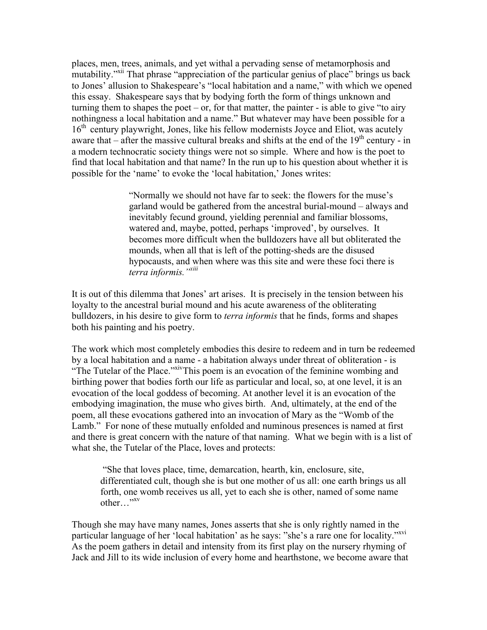places, men, trees, animals, and yet withal a pervading sense of metamorphosis and mutability."<sup>xii</sup> That phrase "appreciation of the particular genius of place" brings us back to Jones' allusion to Shakespeare's "local habitation and a name," with which we opened this essay. Shakespeare says that by bodying forth the form of things unknown and turning them to shapes the poet – or, for that matter, the painter - is able to give "to airy nothingness a local habitation and a name." But whatever may have been possible for a  $16<sup>th</sup>$  century playwright, Jones, like his fellow modernists Joyce and Eliot, was acutely aware that – after the massive cultural breaks and shifts at the end of the  $19<sup>th</sup>$  century - in a modern technocratic society things were not so simple. Where and how is the poet to find that local habitation and that name? In the run up to his question about whether it is possible for the 'name' to evoke the 'local habitation,' Jones writes:

> "Normally we should not have far to seek: the flowers for the muse's garland would be gathered from the ancestral burial-mound – always and inevitably fecund ground, yielding perennial and familiar blossoms, watered and, maybe, potted, perhaps 'improved', by ourselves. It becomes more difficult when the bulldozers have all but obliterated the mounds, when all that is left of the potting-sheds are the disused hypocausts, and when where was this site and were these foci there is *terra informis."xiii*

It is out of this dilemma that Jones' art arises. It is precisely in the tension between his loyalty to the ancestral burial mound and his acute awareness of the obliterating bulldozers, in his desire to give form to *terra informis* that he finds, forms and shapes both his painting and his poetry.

The work which most completely embodies this desire to redeem and in turn be redeemed by a local habitation and a name - a habitation always under threat of obliteration - is "The Tutelar of the Place."xivThis poem is an evocation of the feminine wombing and birthing power that bodies forth our life as particular and local, so, at one level, it is an evocation of the local goddess of becoming. At another level it is an evocation of the embodying imagination, the muse who gives birth. And, ultimately, at the end of the poem, all these evocations gathered into an invocation of Mary as the "Womb of the Lamb." For none of these mutually enfolded and numinous presences is named at first and there is great concern with the nature of that naming. What we begin with is a list of what she, the Tutelar of the Place, loves and protects:

"She that loves place, time, demarcation, hearth, kin, enclosure, site, differentiated cult, though she is but one mother of us all: one earth brings us all forth, one womb receives us all, yet to each she is other, named of some name other…"xv

Though she may have many names, Jones asserts that she is only rightly named in the particular language of her 'local habitation' as he says: "she's a rare one for locality."<sup>xvi</sup> As the poem gathers in detail and intensity from its first play on the nursery rhyming of Jack and Jill to its wide inclusion of every home and hearthstone, we become aware that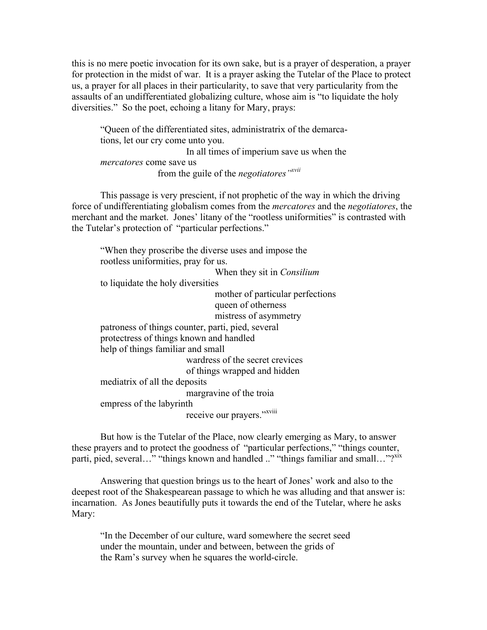this is no mere poetic invocation for its own sake, but is a prayer of desperation, a prayer for protection in the midst of war. It is a prayer asking the Tutelar of the Place to protect us, a prayer for all places in their particularity, to save that very particularity from the assaults of an undifferentiated globalizing culture, whose aim is "to liquidate the holy diversities." So the poet, echoing a litany for Mary, prays:

"Queen of the differentiated sites, administratrix of the demarcations, let our cry come unto you. In all times of imperium save us when the *mercatores* come save us from the guile of the *negotiatores"xvii*

This passage is very prescient, if not prophetic of the way in which the driving force of undifferentiating globalism comes from the *mercatores* and the *negotiatores*, the merchant and the market. Jones' litany of the "rootless uniformities" is contrasted with the Tutelar's protection of "particular perfections."

"When they proscribe the diverse uses and impose the rootless uniformities, pray for us. When they sit in *Consilium* to liquidate the holy diversities mother of particular perfections queen of otherness mistress of asymmetry patroness of things counter, parti, pied, several protectress of things known and handled help of things familiar and small wardress of the secret crevices of things wrapped and hidden mediatrix of all the deposits margravine of the troia empress of the labyrinth receive our prayers."xviii

But how is the Tutelar of the Place, now clearly emerging as Mary, to answer these prayers and to protect the goodness of "particular perfections," "things counter, parti, pied, several…" "things known and handled .." "things familiar and small…"?<sup>xix</sup>

Answering that question brings us to the heart of Jones' work and also to the deepest root of the Shakespearean passage to which he was alluding and that answer is: incarnation. As Jones beautifully puts it towards the end of the Tutelar, where he asks Mary:

"In the December of our culture, ward somewhere the secret seed under the mountain, under and between, between the grids of the Ram's survey when he squares the world-circle.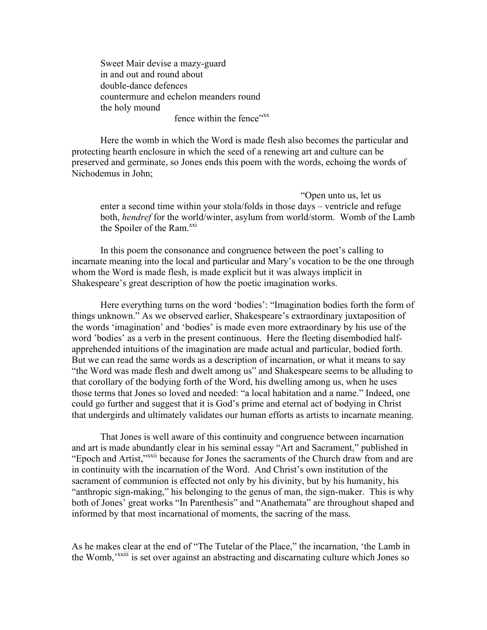Sweet Mair devise a mazy-guard in and out and round about double-dance defences countermure and echelon meanders round the holy mound

fence within the fence"xx

Here the womb in which the Word is made flesh also becomes the particular and protecting hearth enclosure in which the seed of a renewing art and culture can be preserved and germinate, so Jones ends this poem with the words, echoing the words of Nichodemus in John;

"Open unto us, let us enter a second time within your stola/folds in those days – ventricle and refuge both, *hendref* for the world/winter, asylum from world/storm. Womb of the Lamb the Spoiler of the Ram.<sup>xxi</sup>

In this poem the consonance and congruence between the poet's calling to incarnate meaning into the local and particular and Mary's vocation to be the one through whom the Word is made flesh, is made explicit but it was always implicit in Shakespeare's great description of how the poetic imagination works.

Here everything turns on the word 'bodies': "Imagination bodies forth the form of things unknown." As we observed earlier, Shakespeare's extraordinary juxtaposition of the words 'imagination' and 'bodies' is made even more extraordinary by his use of the word 'bodies' as a verb in the present continuous. Here the fleeting disembodied halfapprehended intuitions of the imagination are made actual and particular, bodied forth. But we can read the same words as a description of incarnation, or what it means to say "the Word was made flesh and dwelt among us" and Shakespeare seems to be alluding to that corollary of the bodying forth of the Word, his dwelling among us, when he uses those terms that Jones so loved and needed: "a local habitation and a name." Indeed, one could go further and suggest that it is God's prime and eternal act of bodying in Christ that undergirds and ultimately validates our human efforts as artists to incarnate meaning.

That Jones is well aware of this continuity and congruence between incarnation and art is made abundantly clear in his seminal essay "Art and Sacrament," published in "Epoch and Artist,"xxii because for Jones the sacraments of the Church draw from and are in continuity with the incarnation of the Word. And Christ's own institution of the sacrament of communion is effected not only by his divinity, but by his humanity, his "anthropic sign-making," his belonging to the genus of man, the sign-maker. This is why both of Jones' great works "In Parenthesis" and "Anathemata" are throughout shaped and informed by that most incarnational of moments, the sacring of the mass.

As he makes clear at the end of "The Tutelar of the Place," the incarnation, 'the Lamb in the Womb,<sup>\*\*\*iii</sup> is set over against an abstracting and discarnating culture which Jones so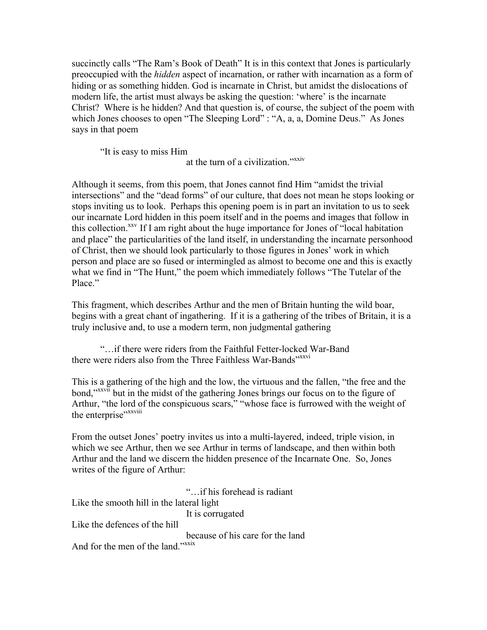succinctly calls "The Ram's Book of Death" It is in this context that Jones is particularly preoccupied with the *hidden* aspect of incarnation, or rather with incarnation as a form of hiding or as something hidden. God is incarnate in Christ, but amidst the dislocations of modern life, the artist must always be asking the question: 'where' is the incarnate Christ? Where is he hidden? And that question is, of course, the subject of the poem with which Jones chooses to open "The Sleeping Lord" : "A, a, a, Domine Deus." As Jones says in that poem

"It is easy to miss Him

at the turn of a civilization." $x$ <sup>xxiv</sup>

Although it seems, from this poem, that Jones cannot find Him "amidst the trivial intersections" and the "dead forms" of our culture, that does not mean he stops looking or stops inviting us to look. Perhaps this opening poem is in part an invitation to us to seek our incarnate Lord hidden in this poem itself and in the poems and images that follow in this collection.<sup>xxv</sup> If I am right about the huge importance for Jones of "local habitation" and place" the particularities of the land itself, in understanding the incarnate personhood of Christ, then we should look particularly to those figures in Jones' work in which person and place are so fused or intermingled as almost to become one and this is exactly what we find in "The Hunt," the poem which immediately follows "The Tutelar of the Place."

This fragment, which describes Arthur and the men of Britain hunting the wild boar, begins with a great chant of ingathering. If it is a gathering of the tribes of Britain, it is a truly inclusive and, to use a modern term, non judgmental gathering

"…if there were riders from the Faithful Fetter-locked War-Band there were riders also from the Three Faithless War-Bands"<sup>xxvi</sup>

This is a gathering of the high and the low, the virtuous and the fallen, "the free and the bond,"<sup>xxvii</sup> but in the midst of the gathering Jones brings our focus on to the figure of Arthur, "the lord of the conspicuous scars," "whose face is furrowed with the weight of the enterprise"<sup>xxviii</sup>

From the outset Jones' poetry invites us into a multi-layered, indeed, triple vision, in which we see Arthur, then we see Arthur in terms of landscape, and then within both Arthur and the land we discern the hidden presence of the Incarnate One. So, Jones writes of the figure of Arthur:

"…if his forehead is radiant Like the smooth hill in the lateral light It is corrugated Like the defences of the hill because of his care for the land And for the men of the land."<sup>xxix</sup>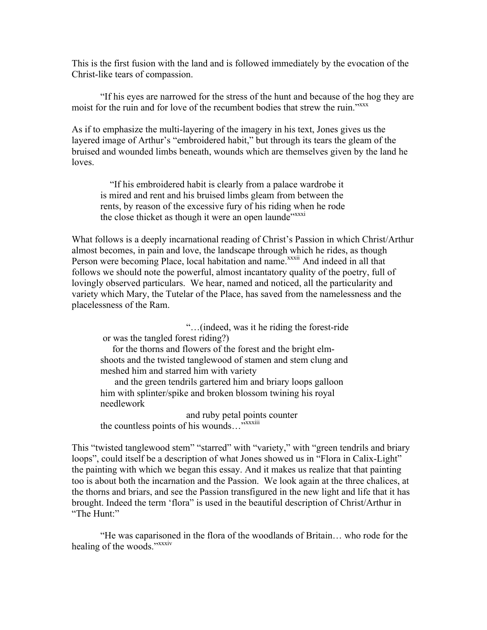This is the first fusion with the land and is followed immediately by the evocation of the Christ-like tears of compassion.

"If his eyes are narrowed for the stress of the hunt and because of the hog they are moist for the ruin and for love of the recumbent bodies that strew the ruin.<sup>"xxx</sup>

As if to emphasize the multi-layering of the imagery in his text, Jones gives us the layered image of Arthur's "embroidered habit," but through its tears the gleam of the bruised and wounded limbs beneath, wounds which are themselves given by the land he loves.

 "If his embroidered habit is clearly from a palace wardrobe it is mired and rent and his bruised limbs gleam from between the rents, by reason of the excessive fury of his riding when he rode the close thicket as though it were an open launde"<sup>xxxi</sup>

What follows is a deeply incarnational reading of Christ's Passion in which Christ/Arthur almost becomes, in pain and love, the landscape through which he rides, as though Person were becoming Place, local habitation and name.<sup>xxxii</sup> And indeed in all that follows we should note the powerful, almost incantatory quality of the poetry, full of lovingly observed particulars. We hear, named and noticed, all the particularity and variety which Mary, the Tutelar of the Place, has saved from the namelessness and the placelessness of the Ram.

"…(indeed, was it he riding the forest-ride or was the tangled forest riding?)

 for the thorns and flowers of the forest and the bright elmshoots and the twisted tanglewood of stamen and stem clung and meshed him and starred him with variety

 and the green tendrils gartered him and briary loops galloon him with splinter/spike and broken blossom twining his royal needlework

and ruby petal points counter the countless points of his wounds..."<sup>xxxiii</sup>

This "twisted tanglewood stem" "starred" with "variety," with "green tendrils and briary loops", could itself be a description of what Jones showed us in "Flora in Calix-Light" the painting with which we began this essay. And it makes us realize that that painting too is about both the incarnation and the Passion. We look again at the three chalices, at the thorns and briars, and see the Passion transfigured in the new light and life that it has brought. Indeed the term 'flora" is used in the beautiful description of Christ/Arthur in "The Hunt:"

"He was caparisoned in the flora of the woodlands of Britain… who rode for the healing of the woods." xxxiv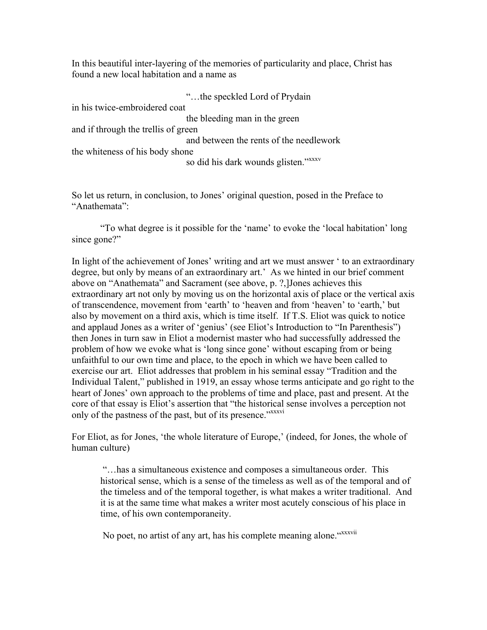In this beautiful inter-layering of the memories of particularity and place, Christ has found a new local habitation and a name as

"…the speckled Lord of Prydain in his twice-embroidered coat the bleeding man in the green and if through the trellis of green and between the rents of the needlework the whiteness of his body shone so did his dark wounds glisten."<sup>xxxv</sup>

So let us return, in conclusion, to Jones' original question, posed in the Preface to "Anathemata":

"To what degree is it possible for the 'name' to evoke the 'local habitation' long since gone?"

In light of the achievement of Jones' writing and art we must answer ' to an extraordinary degree, but only by means of an extraordinary art.' As we hinted in our brief comment above on "Anathemata" and Sacrament (see above, p. ?,]Jones achieves this extraordinary art not only by moving us on the horizontal axis of place or the vertical axis of transcendence, movement from 'earth' to 'heaven and from 'heaven' to 'earth,' but also by movement on a third axis, which is time itself. If T.S. Eliot was quick to notice and applaud Jones as a writer of 'genius' (see Eliot's Introduction to "In Parenthesis") then Jones in turn saw in Eliot a modernist master who had successfully addressed the problem of how we evoke what is 'long since gone' without escaping from or being unfaithful to our own time and place, to the epoch in which we have been called to exercise our art. Eliot addresses that problem in his seminal essay "Tradition and the Individual Talent," published in 1919, an essay whose terms anticipate and go right to the heart of Jones' own approach to the problems of time and place, past and present. At the core of that essay is Eliot's assertion that "the historical sense involves a perception not only of the pastness of the past, but of its presence."*xxxvi* 

For Eliot, as for Jones, 'the whole literature of Europe,' (indeed, for Jones, the whole of human culture)

"…has a simultaneous existence and composes a simultaneous order. This historical sense, which is a sense of the timeless as well as of the temporal and of the timeless and of the temporal together, is what makes a writer traditional. And it is at the same time what makes a writer most acutely conscious of his place in time, of his own contemporaneity.

No poet, no artist of any art, has his complete meaning alone." xxxviii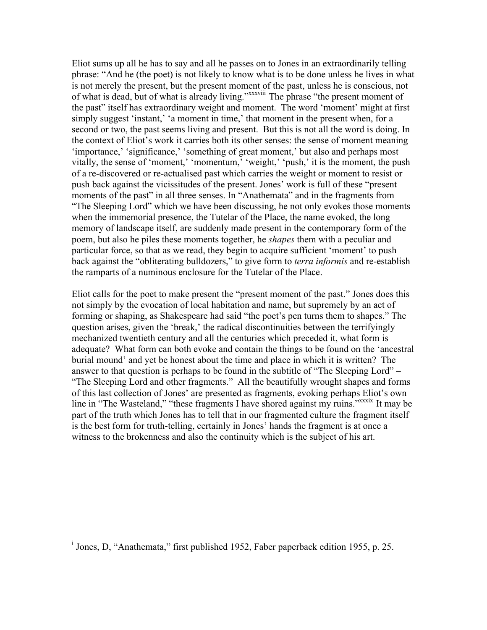Eliot sums up all he has to say and all he passes on to Jones in an extraordinarily telling phrase: "And he (the poet) is not likely to know what is to be done unless he lives in what is not merely the present, but the present moment of the past, unless he is conscious, not of what is dead, but of what is already living."xxxviii The phrase "the present moment of the past" itself has extraordinary weight and moment. The word 'moment' might at first simply suggest 'instant,' 'a moment in time,' that moment in the present when, for a second or two, the past seems living and present. But this is not all the word is doing. In the context of Eliot's work it carries both its other senses: the sense of moment meaning 'importance,' 'significance,' 'something of great moment,' but also and perhaps most vitally, the sense of 'moment,' 'momentum,' 'weight,' 'push,' it is the moment, the push of a re-discovered or re-actualised past which carries the weight or moment to resist or push back against the vicissitudes of the present. Jones' work is full of these "present moments of the past" in all three senses. In "Anathemata" and in the fragments from "The Sleeping Lord" which we have been discussing, he not only evokes those moments when the immemorial presence, the Tutelar of the Place, the name evoked, the long memory of landscape itself, are suddenly made present in the contemporary form of the poem, but also he piles these moments together, he *shapes* them with a peculiar and particular force, so that as we read, they begin to acquire sufficient 'moment' to push back against the "obliterating bulldozers," to give form to *terra informis* and re-establish the ramparts of a numinous enclosure for the Tutelar of the Place.

Eliot calls for the poet to make present the "present moment of the past." Jones does this not simply by the evocation of local habitation and name, but supremely by an act of forming or shaping, as Shakespeare had said "the poet's pen turns them to shapes." The question arises, given the 'break,' the radical discontinuities between the terrifyingly mechanized twentieth century and all the centuries which preceded it, what form is adequate? What form can both evoke and contain the things to be found on the 'ancestral burial mound' and yet be honest about the time and place in which it is written? The answer to that question is perhaps to be found in the subtitle of "The Sleeping Lord" – "The Sleeping Lord and other fragments." All the beautifully wrought shapes and forms of this last collection of Jones' are presented as fragments, evoking perhaps Eliot's own line in "The Wasteland," "these fragments I have shored against my ruins."<sup>xxxxix</sup> It may be part of the truth which Jones has to tell that in our fragmented culture the fragment itself is the best form for truth-telling, certainly in Jones' hands the fragment is at once a witness to the brokenness and also the continuity which is the subject of his art.

 <sup>i</sup> Jones, D, "Anathemata," first published 1952, Faber paperback edition 1955, p. 25.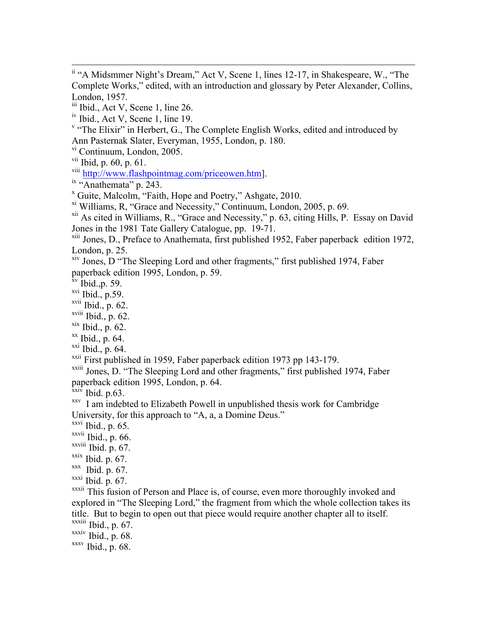vi Continuum, London, 2005.

 $vii$  Ibid, p. 60, p. 61.

viii http://www.flashpointmag.com/priceowen.htm].

 $\alpha$ <sup>x</sup> Guite, Malcolm, "Faith, Hope and Poetry," Ashgate, 2010.

xiii Jones, D., Preface to Anathemata, first published 1952, Faber paperback edition 1972, London, p. 25.

 $xvi$  Ibid., p.59.

 $xvii$  Ibid., p. 62.

 $x$ <sup>viii</sup> Ibid., p. 62.

 $\frac{xx}{xx}$  Ibid., p. 62.<br> $\frac{xx}{xy}$  Ibid., p. 64.

 $xxi$  Ibid., p. 64.

 $\frac{x}{x}$ <sup>xxii</sup> First published in 1959, Faber paperback edition 1973 pp 143-179.

xxiii Jones, D. "The Sleeping Lord and other fragments," first published 1974, Faber paperback edition 1995, London, p. 64.<br><sup>xxiv</sup> Ibid. p.63.

xxv I am indebted to Elizabeth Powell in unpublished thesis work for Cambridge University, for this approach to "A, a, a Domine Deus."

 $x$ <sup>xxvi</sup> Ibid., p. 65.

xxvii Ibid., p. 66.

 $x$ <sup>xxviii</sup> Ibid. p. 67.

 $\frac{xxix}{xx}$  Ibid. p. 67.

 $x$ <sup>xxxi</sup> Ibid. p. 67.

xxxii This fusion of Person and Place is, of course, even more thoroughly invoked and explored in "The Sleeping Lord," the fragment from which the whole collection takes its title. But to begin to open out that piece would require another chapter all to itself.

 $\frac{xxx}{xy}$  Ibid., p. 67.<br> $\frac{xxx}{xy}$  Ibid., p. 68.

 $xxxv$  Ibid., p. 68.

 ii "A Midsmmer Night's Dream," Act V, Scene 1, lines 12-17, in Shakespeare, W., "The Complete Works," edited, with an introduction and glossary by Peter Alexander, Collins, London, 1957.

iii Ibid., Act V, Scene 1, line 26.

<sup>&</sup>lt;sup>iv</sup> Ibid., Act V, Scene 1, line 19. *v* "The Elixir" in Herbert, G., The Complete English Works, edited and introduced by Ann Pasternak Slater, Everyman, 1955, London, p. 180.

xi Williams, R, "Grace and Necessity," Continuum, London, 2005, p. 69.

xii As cited in Williams, R., "Grace and Necessity," p. 63, citing Hills, P. Essay on David Jones in the 1981 Tate Gallery Catalogue, pp. 19-71.

xiv Jones, D "The Sleeping Lord and other fragments," first published 1974, Faber paperback edition 1995, London, p. 59.<br><sup>xv</sup> Ibid.,p. 59.